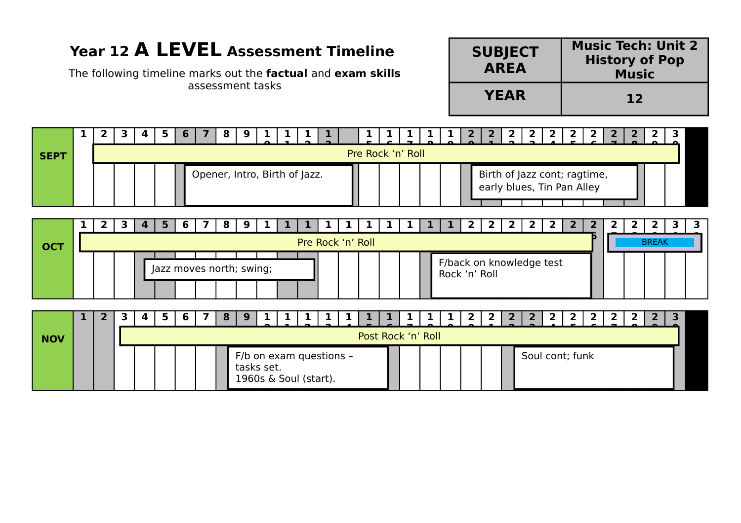## **Year 12 A LEVEL Assessment Timeline**

The following timeline marks out the **factual** and **exam skills** assessment tasks

| <b>SUBJECT</b><br><b>AREA</b> | <b>Music Tech: Unit 2</b><br><b>History of Pop</b><br><b>Music</b> |
|-------------------------------|--------------------------------------------------------------------|
| <b>YEAR</b>                   | 12                                                                 |



| <b>NOV</b> |  | 4 |  |  | -91                                                            |  |  |  | Post Rock 'n' Roll |  |  |                 |  |  |  |  |
|------------|--|---|--|--|----------------------------------------------------------------|--|--|--|--------------------|--|--|-----------------|--|--|--|--|
|            |  |   |  |  | F/b on exam questions -<br>tasks set.<br>1960s & Soul (start). |  |  |  |                    |  |  | Soul cont; funk |  |  |  |  |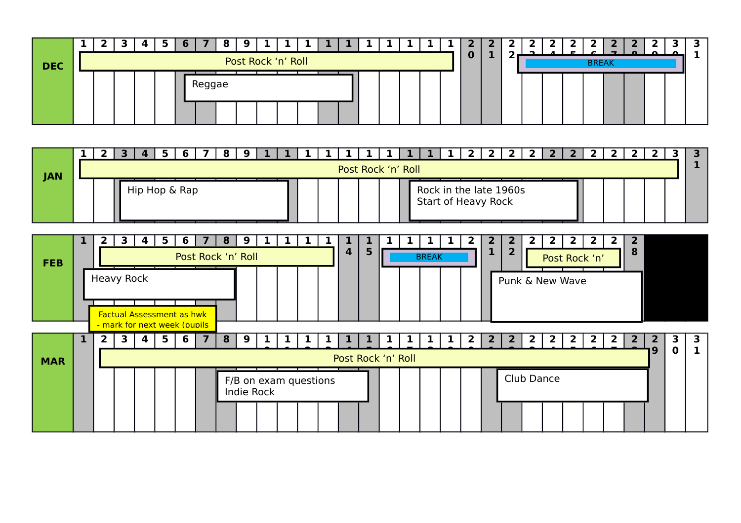

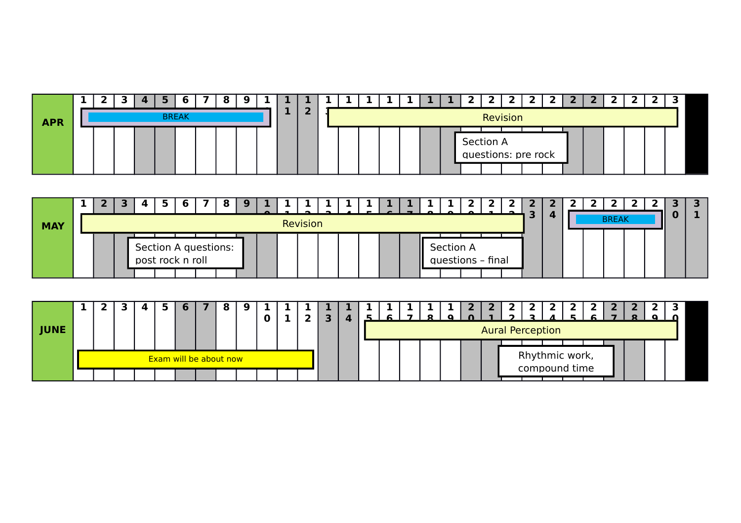|            | ▃ | 3 |  |              |  |  |   |  |  |  |  |                                  |  |  |  |  |  |
|------------|---|---|--|--------------|--|--|---|--|--|--|--|----------------------------------|--|--|--|--|--|
| <b>APR</b> |   |   |  | <b>BREAK</b> |  |  | e |  |  |  |  | Revision                         |  |  |  |  |  |
|            |   |   |  |              |  |  |   |  |  |  |  | Section A<br>questions: pre rock |  |  |  |  |  |

| <b>MAY</b> |  |  |  |                                          |  | Revision |  |  |  |           |                   |  | - |  | <b>BREAK</b> |  |  |
|------------|--|--|--|------------------------------------------|--|----------|--|--|--|-----------|-------------------|--|---|--|--------------|--|--|
|            |  |  |  | Section A questions:<br>post rock n roll |  |          |  |  |  | Section A | questions - final |  |   |  |              |  |  |

|             |  |  |                        |  |  |  |  |  |  | . . |                         |  |                                 |  |  |  |
|-------------|--|--|------------------------|--|--|--|--|--|--|-----|-------------------------|--|---------------------------------|--|--|--|
|             |  |  |                        |  |  |  |  |  |  |     |                         |  |                                 |  |  |  |
| <b>JUNE</b> |  |  |                        |  |  |  |  |  |  |     | <b>Aural Perception</b> |  |                                 |  |  |  |
|             |  |  |                        |  |  |  |  |  |  |     |                         |  |                                 |  |  |  |
|             |  |  | Exam will be about now |  |  |  |  |  |  |     |                         |  | Rhythmic work,<br>compound time |  |  |  |
|             |  |  |                        |  |  |  |  |  |  |     |                         |  |                                 |  |  |  |